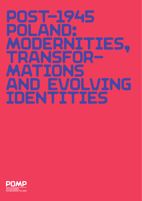# Post-1945 Poland: MODERNITIES, Transfor-**MATIONS** and Evolving Identities

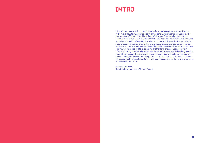### INTRO

It is with great pleasure that I would like to offer a warm welcome to all participants of the first graduate students' and early career scholars' conference organized by the Programme on Modern Poland in St Antony's College. From very beginning of our activities in 2013, we have aimed to establish POMP as a hub for research scholars who specialise in broadly defined Polish studies and represent diverse disciplines and international academic institutions. To that end, we organise conferences, seminar series, lectures and other events that promote academic discussions and intellectual exchange. This year we have decided to facilitate yet another form of academic cooperation, a forum for young scholars who would use this venue to present path-breaking research, benefit from the expertise and advice of senior academics, and build professional and personal networks. We very much hope that the success of this conference will help to advance and enhance participants' research projects, and we look forward to organising such events in the future.

Dr Mikołaj Kunicki, Director of Programme on Modern Poland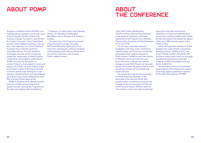## About Pomp

**ABOUT** The Conference

Program on Modern Poland (POMP) is an interdisciplinary research centre and a part of the European Studies Centre at St Antony's College. Founded in July 2013 by Dr Leszek Czarnecki's Getin Noble Bank and the Oxford Noble Foundation, the centre's main objective is to correct Western European bias in British academia and public sphere. Through academic exchanges, seminar series, lectures by invited key researchers in Polish Studies, conferences and academic publications, POMP nurtures the discussion on modern Poland in the academic circles and beyond. At POMP, we study Poland within the broader context of the region and the continent ambitiously seeking for a comparative, interdisciplinary and transnational perspective that would challenge the Cold War and post-Soviet approaches.

POMP is directed by Dr Mikołaj Kunicki, historian of 20th century Poland and Eastern Europe. Among the Programme's founders are leading Oxford academics

– Professors Timothy Garton Ash, Norman Davies, Jan Zielonka and Margaret MacMillan, who is Warden of St Antony's College.

Two years from the Programme launch, it has attracted a number of quality DPhil and fellowship applications from historians, sociologists, political scientists, anthropologists and culture scholars from around the world who seek to study Polish-related themes.

"Post-1945 Poland: Modernities, Transformations and Evolving Identities" is the students' graduate conference organised by the Programme on Modern Poland at the University of Oxford between 11–12 June 2015.

For two days, seventeen doctoral candidates and early career researchers from European and American universities will present their original research in Polish studies. Crafted around the notions of different visions of modernity, and socio-economic, political and cultural changes in post-1945 Poland, six thematic panels will provide the opportunity to cross disciplinary borders of humanities and social sciences.

The panels will examine the processes of reinventing local identities in the aftermath of the Second World War; transformation of political consciousness throughout the turning points of Poland's contemporary history; different systems of economic, social, and cultural exchange

during the Cold War and beyond; reflections on historical watersheds by the country's leading intellectuals. Finally, the last two panels will dissect the legacy of the post-1989 transformation of the Polish society.

Led by distinguished scholars in Polish Studies from major British universities, including Oxford, SSEES at UCL, and King's College London, the panels will provide a unique opportunity for exchanging ideas and experiences between students of different backgrounds and senior academics.

The extended versions of conference presentations will be featured in a series of working papers published in autumn 2015 under the auspices of POMP.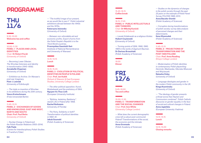## **PROGRAMME**

### **THU** 11/6

9.30–10.00 **Welcome tea and coffee**

10.00–11.30 **Panel 1 – Places and local identities** Chair: **Dr Robert Pyrah** (University of Oxford)

— *Becoming Lower Silesian. The Wrocław historians and identity in transformation (1945–1956).*  **Annabelle Chapman** (University of Oxford)

— *Exhibition as Archive. On Warsaw's post-war Imaginary.*  **Piotr J. Leśniak** (University of Edinburgh)

— *The triple re-invention of Wrocław in its exhibitions during the 20th century.* **Vasco Kretschmann** (Freie Universität Berlin)

11.45–13.15 **Panel 2 – Exchanges of goods and knowledge: East and West, North and South Chair: Prof. Paul Betts**  (University of Oxford)

— *Nuclear Energy in Poland and the Polish-Russian Relations (1955–2014).* **Falk Flade** (Centre for Interdisciplinary Polish Studies in Frankfurt/Oder)

— *"The truthful image of our present, as we would like to see it". Polish industrial exhibitions abroad between the 1940s and the 1970s.* 

**Katarzyna Jeżowska** (University of Oxford)

— *Between non-refundable aid and economic profits. Export of arms from the Polish People's Republic's to the Third World countries.* **Przemysław Gasztold-Seń** (Institute of National Remembrance and University of Warsaw)

13.15–14.15 **Lunch**

### 14.15–15.45 **Panel 3 – Evolution of political**

**identities in People's Poland** Chair: **Prof. Jan Kubik** (School of Slavonic & East European

*— The other political opposition. Kuroń, Modzelewski and the prehistory of 1964.* **Nguyen Vu Thuc Linh** (European University Institute)

Studies, University College London)

*— "Byliśmy, Jesteśmy, Będziemy". Jewish Life in Poland after 1968.* **Rachel Rothstein** (University of Florida)

— *The Party, Solidarity or both? Transformation of political identities in 1980–81.* **Jakub Szumski** 

(Polish Academy of Sciences)

15.45–16.15 **Coffee break**

16.15–17.45 **Panel 4 – Public intellectuals and thinkers** Chair: **Dr Mikołaj Kunicki** (University of Oxford)

*— Leszek Kołakowski as a religious thinker.* **Hubert Czyżewski (**University of Oxford)

*— Turning-points of 1956, 1968, 1980, 1989 in the works of Zygmunt Bauman.*  **Dr Dariusz Brzeziński** (Polish Academy of Sciences)

19.00 **Dinner**

### Fri 12/6

9.45–10.00 **Tea and coffee**

10.00–11.30 **Panel 5 – Transformation and the social changes** Chair: **Prof. Ann White**  (University College London)

— *What does the current demographic crisis tell us about post-communist Poland? Transformations of the social, the economic and the intimate.* **Anna Gromada** (Polish Academy of Sciences)

— *Studies on the dynamics of changes in the polish society through the past 25 years on the example of Polish Panel Survey POLPAN 1988–2013.* **Anna Baczko-Dombi** (Polish Academy of Sciences)

*— Corruption during transformations of polish society: survey data analysis of perceived changes and their determinants.* **Ilona Wysmułek** 

(Polish Academy of Sciences)

### 11.45–13.15

**Panel 6 – Projections of transformation and the post-1989 Poland** Chair: **Prof. Anna Reading**  (King's College London)

— *Modernisation of Polish identities in contemporary Polish playwriting: Demirski, Masłowska, Sikorska-Miszczuk and Wojcieszek.* **Natasha Oxley** (University of Oxford)

— *Language ideologies and gender in the modern Polish community in the UK.* **Kinga Kozminska** (University of Oxford)

— *"The ideology of gender presents a threat worse than Nazism and Communism combined". Polish Catholic discourse on gender equality in the face of social and cultural changes in Poland.* **Anna Jagielska** 

(European University Viadrina)

13.15–14.15 **Lunch**

14.15–15.00 **Closing remarks**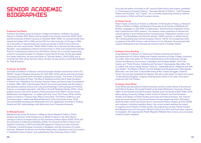### Senior Academic **BIOGRAPHIES**

#### **Professor Paul Betts**

Professor Paul Betts joined St Antony's College as Professor of Modern European History in October 2012. Before that he taught at the Sussex University (2000–2012) and the University of North Carolina at Charlotte (1996–1999). He received his BA from Haverford College (US) in 1985, and his PhD from the University of Chicago in 1995. He is the author of several books and numerous articles on 20th Century German history. His most recent book, "Within Walls: Private Life in the German Democratic Republic", was published by Oxford University Press in 2010, and received the Fraenkel Prize for Contemporary History from the Wiener Library. He is currently researching a book on comparative ideas of civilization in post-fascist Europe. He has also edited four essay collections. He was Joint Editor of "German History', 2003–2009, and is currently the Chair of the German History Society. He also serves on the Editorial Board for "Past & Present".

#### **Professor Jan Kubik**

Jan Kubik is Professor of Slavonic and East European Studies and Director of the UCL SSEES. Taught at Rutgers University, NJ, USA (1991–2014) and has lectured at several universities around the world. His earlier publications include: "The Power of Symbols against the Symbols of Power. The Rise of Solidarity and the Fall of State Socialism in Poland" and "Rebellious Civil Society: Popular Protest and Democratic Consolidation in Poland, 1989–1993" (with Grzegorz Ekiert). His recent work deals with the relationship between political science and cultural anthropology ("Anthropology and Political Science: a convergent approach", with Myron Aronoff, Berghahn Books, 2013); critical analysis of post-communist studies ("Postcommunism from Within. Social Justice, Mobilization, and Hegemony", co-edited with Amy Linch, NYU Press, 2013); and the politics of memory ("Twenty Years After Communism: The Politics of Memory and Commemoration", edited with Michael Bernhard, Oxford University Press, 2014). He received MA (sociology and philosophy) from the Jagiellonian University in Krakow, Poland and PhD. (anthropology, with distinction) from Columbia University.

#### **Dr Mikolaj Kunicki**

Mikołaj Kunicki joined St Antony's College as Senior Research Fellow in Polish Studies and Director of the Programme on Modern Poland in July 2013. Before coming to Oxford, he taught history at the University of Notre Dame (2006–2013) and the University of California at Berkeley (2005). He received his PhD in History from Stanford University in 2004 and holds MA degrees in History from the University of Warsaw, Central European University in Budapest, and the University of London. His book, "Between the Brown and the Red: Nationalism, Catholicism and Communism in Twentieth Century Poland", was published by Ohio University Press in 2012.

He is also the author of articles on  $20<sup>th</sup>$  century Polish history and cinema, published in "Contemporary European History", "European Review of History", "East European Politics and Societies", and "Transit". He is currently researching a book on national communism in Polish and East European cinema.

#### **Dr Robert Pyrah**

Robert Pyrah, University of Oxford, is a Member of the Faculty of History, a Research Fellow of Wolfson College, and Research Associate at the Faculty of Medieval and Modern Languages on the AHRC-funded project "Subcultures as integrative forces, East-Central Europe 1900–present". His research covers questions of national and cultural identity in post-Habsburg East-Central Europe. Publications include a monograph, "The Burgtheater and Austrian Identity" (2007), and the co-edited volume "Re-Contextualising East Central European History" (2010). He is preparing a book on aspects of the 20th Century cultural history of L'viv (Ukraine). He previously held a Senior Fellowship at the International Cultural Centre in Kraków, Poland.

#### **Professor Anna Reading**

Anna Reading is Professor of Cultural and Creative Industries and Head of the Department of Culture, Media and Creative Industries at Kings College, University of London. She is the author of "The Social Inheritance of the Holocaust: Gender, Culture and Memory; Communism, Capitalism and the Mass Media", with Colin Sparks, and "Polish Women, Solidarity and Feminism", Basingstoke: Macmillan. She co-edited with Joanne Garde Hansen "Save As... Digital Memories" (Palgrave) and with Jane Stokes "The Media in Britain: Current Debates and Developments", Basingstoke: Macmillan. Her new book "Cultural Memories of Non-violent Struggles: Powerful Times" has just been published by Palgrave. She also writes plays: her latest short piece "To My Dearest Daughter" imagines what feminism will be in ten years' time and is produced with Fuel Theatre.

#### **Professor Anne White**

Anne White was educated at Oxford University and the London School of Economics and Political Science. She taught English at the Adam Mickiewicz University, Poznań (1983-4) and Russian and East European Studies at the University of Bath (1987–2014) before joining University College London School of Slavonic and East European Studies as Professor of Polish Studies and Social and Political Science. Her research areas are social change in Central and Eastern Europe (beginning with a PhD about declining state control over leisure time in communist Poland, Hungary and the USSR) and migration, including migration theory. Her current project explores the impact of migration from Poland on Polish society. Her publications include "Polish Families and Migration since EU Accession" (Bristol: Policy Press 2011) and three other research monographs. She organises the Polish Migration Website http://www.ucl.ac.uk/ssees/ research/polish-migration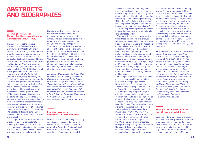### **ABSTRACTS** AND BIOGRAPHIES

#### **Becoming Lower Silesian: The Wrocław historians and identity in transformation (1945–1956)**

This paper looks at the emergence of a new Lower Silesian identity in Communist-era Wrocław, (formerly German Breslau) during the first decade after the region was incorporated into Poland in 1945, in the context of the political and cultural changes and border shifts of the time. As a case study, it takes the historians at Wrocław University's history faculty grouped around medievalist couple Ewa (1900–1972) and Karol Maleczyński (1897–1968) who moved to Wrocław from Lwów (today Lviv, Ukraine) in 1945, along with many other Poles from Poland's eastern borderlands that were incorporated into the Soviet Union. It examines how the Maleczyńskis and their colleagues re-established and re-invented Lower Silesian identity in the years coinciding with the rise of Marxist politics and historiography in Poland. The paper argues that, at the same time, the historians – none of whom were originally from the region themselves – were re-establishing and re-inventing their own identities. As the title indicates, the focus is on the process of "becoming" – to a greater or lesser extent – Lower Silesian, rather than reaching any specific end-product.

This paper examines three components of the new Lower Silesian identity promoted by the Maleczyńskis; its Marxist, Polish (national) and regional dimensions. The research, based on my DPhil thesis at Oxford University, looks at both the

historians' work and lives, including the relations between them. It uses a range of primary sources, including diaries, letters and memoirs (some of them unpublished), drawing on discourse analysis and biographical approaches. This innovative, interdisciplinary approach sheds light on the complex – and sometimes contradictory – discourses of Lower Silesian identity that were being produced by these historians in Wrocław after World War II. This, in turn, offers a fresh perspective on identities and notions of modernity in postwar Poland, particularly their regional dimension and the role of historians in producing them.

**Annabelle Chapman** *is a third-year DPhil student in Modern Languages at Oxford University, where she is a Senior Scholar at Hertford College. Her thesis is entitled "Becoming Lower Silesian: Ewa and Karol Maleczyński and their milieu of Wrocław historians (1945–1956)". She has an MSc in Russian and East European Studies and a BA in Politics, Philosophy and Economics, both from Oxford University.*

*— annabelle.chapman@hertford.ox.ac.uk*

#### **Exhibition as Archive: on Warsaw's post-war imaginary**

Warsaw's history is marked by spectrality and absence, focused either on what was destroyed, "not re-built" (nie-odbudowane), or "never-built" (niezaistniałe). In some accounts the city has been described as (continuously) remade by

"censors-researchers" operating on its past through silencing and exclusion — at once creating breaks (symbolic, physical or chronologic) and filling them in — and thus attempting to unify the image of the city. If "filling the gap" (scholars' typical agenda) is no longer desirable, could architectural imaginary (which thrives on omissions) contribute to presenting Warsaw's history in ways that give voice to its multiple, silent (and silenced) past(s)?

This paper follows on Jacques Derrida's thesis that a certain kind of silence, on scholar's part, is needed to study and write history; a silence that opens the "possibility of spectral response," on which history and culture are built. This possibility is characteristic of photographic and architectural archives (photographs and drawings of houses are among ghosts' favourite places of residence), and where one may choose to stop speaking (history) and "let [spectres] speak." This, however, requires an opening to a possibility that the archive itself, while carrying marks of material presence, is entirely spectral and imagined.

Drawing on such possibility, this paper discusses a proposal for an exhibition of Warsaw's (imaginary) archives. Designed for the Polish Architects' Association (SARP) exposition pavilion at Foksal Street (a locus of actual, politically-charged imagining of the city), the exhibition aims to unfold certain aspects of Polish (national) history through several chronologically distant, yet ideologically and spatially overlapping urban imaginaries of the Capital. This paper relates to the planning of the exhibition on two levels.

On one level, it relays one of these imaginaries — that of Warsaw in years 1944–56 — through a historical narrative concerned with several specific sites in the city. With the use of image and text, the World Heritage archive of damage surveys made by the city's Reconstruction Bureau (BOS) is put into a (spectral) conversation with a private archive of sculptor Karol Tchorek, the late author

of a series of memorial plaques marking Warsaw's sites of trauma, and of the bas-relief Mother with a Child in the MDM socialist-realist housing estate. Through situation in the SARP pavilion, the public and the private archive are then invited to 'speak' with the 'city-as-archive' itself. On another level, the paper is a locus for reflecting on the role of exhibition design in history research; an invitation to considering exhibition as a future-oriented, workable archive: a (necessarily) paradoxical object that operates "always and a priori against itself" — promising to keep things (secret), it generously gives them away.

**Piotr Leśniak** *graduated from the Warsaw University of Technology (BSc Arch 2006) and the University of Edinburgh (MArch 2009, MSc Res 2010). He has worked in architectural practice in Poland and the UK, as a studio critic and theory tutor at the University of Edinburgh, and as designer on several exhibition projects. He co-organised and chaired the symposium Plenitude and Emptiness on research by-design, and co- founded the architectural design research journal "Drawing On". He is currently working on his design-lead PhD thesis on architectural imaginaries of Warsaw, for which he holds the Principal's Career Development Scholarship from the University of Edinburgh. — p.lesniak@sms.ed.ac.uk*

#### **The triple reinvention of Wrocław in its 20th century exhibitions**

Breslau's cultural elites tried to present local history as an expression of a German stronghold in the eastern borderlands. Aware of Breslau's reputation as a backward German city, they radicalized the city's museums' interpretations of local history — especially after 1933 — as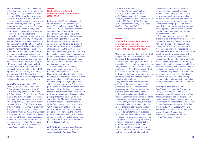a war-driven success story. The history of Breslau's large Jewish community was an integral part of the museum's exhibitions until 1933. After the city became Polish in 1945, the first museum exhibitions presented a selective picture of a traditional Polish city that had only been temporarily conquered by the Germans. Traces of German local history were marginalized or presented as a negative factor in the city's development.

In the Polish national perspective of the People's Republic, the city's history was a string of struggles against the Germans: its peak was Soviet "liberation" with the victory over Nazi Breslau and the "return" of the Western territories to the Polish motherland — annually commemorated in historical exhibitions. Traces of the strong German-Jewish as well as Polish-Jewish communities were omitted from local history exhibitions. But as early as 1984, Jewish history became the first chapter of the city's pre-war German history shown in exhibitions. Since 1989, a gradual process has begun to portray an entangled Polish-German-Jewish history of cultural pluralism by promoting the image of a modern, European city.

**Vasco Kretschmann** *(born 1985 in Aachen) studied History and Political Science in Berlin and Warsaw (2006– 2009) and completed a Master of Arts in Public History at Freie Universität Berlin in 2012. In his PhD project he investigates how the museums of German and Polish Wrocław (Breslau) exhibited local history between 1900 and 2010. His study uses a multi-dimensional method to empirically analyse historical culture. His fields of interest are German-Polish and European historical cultures and exhibition projects. Since April 2013 he has been a graduate member of the selection committee for the Association for Student Exchange in Central and Eastern Europe (GFPS e.V.). — v.kretschmann@fu-berlin.de*

#### **Nuclear Energy in Poland and the Polish-Russian Relations (1955–2014)**

In November 2009, the Polish Council of Ministers accepted the strategy paper "Polityka Energetyczna Polski do 2030 roku". For the first time an official document fixed a date for the commissioning of a nuclear power plant in Poland. Although the initially planned commissioning for the year 2020 has been frequently postponed, nuclear energy is of importance in political and public debates. Besides ecological and efficiency aspects, the main argument favouring nuclear energy is supply security. Polish policy makers hope for a reduction of the high dependency on energy imports from Russia. This dependency is considered as a potential limitation to Poland's political scope of action.

The relation with Russia takes centre-stage not only in current Polish (nuclear) energy politics. The Soviet Union was a central protagonist since the beginning of the scientific usage of nuclear energy in Poland in 1955, too. However, this relationship was anything but onesided, as one might expect. Polish experts participated in scientific work at the international nuclear physics research centre in Dubna. Construction workers from Poland took part in the erection of several nuclear power plants in the Soviet Union. At the same time, the Chernobyl disaster had a direct impact on the construction stop of the Żarnowiec nuclear power plant in 1990. These plain facts show the importance of the "Russian factor" for Polish nuclear policy. Therefore, the aim of the paper is to examine the long-term development of the Polish nuclear energy sector against the backdrop of Polish-Soviet and Polish-Russian relations.

**Falk Flade***, Master's degree in Slavonic studies, East European history and economics in Greifswald and Lublin* 

*(2002–2009). Internship at the International Youth Meeting Center in Oświęcim/Auschwitz. Internship in the Polish parliament. Freelancer in the project Online-Archiv "Zwangsarbeit 1939-1945" . Since 2012 PhD student at the Center for Interdisciplinary Polish Studies in Frankfurt/Oder. — falk.flade@googlemail.com*

#### **"The truthful image of our present, as we we would like to see it" – Polish industrial exhibitions abroad between the 1940s and the 1970s**

"Our exhibition design depicts the truthful image of our present, as we we would like to see it. To a great extent it is an image of our longings, a sample of our possibilities." This quote from an article by Jerzy Hryniewiecki published in an inaugural issue of "Projekt" magazine in 1956 disclose the contradictory objectives of design exhibitions – in aiming to present the country, they drift towards a speculation of what it could be.

My research examines international exhibitions that featured models and prototypes, as well as photographic representations of things, ranging from furniture, glass, porcelain and textiles to domestic appliances and vehicles. However, commodities designed in Poland and exported abroad are not the main concern of my thesis. Instead, it focuses on the evolving relation between objects and spaces that have been used to construct an image of the Polish People's Republic abroad. It prompts the main question: How did that Imagined Poland look like?

The archival material does not provide a simple answer. In contrary, its diversity and wide range makes categorization of the exhibitions even more difficult. In the period of three decades between the mid 1940s and the mid 1970s, Poland took part in a few hundred industrial

presentations abroad. This included periodical exhibitions such as Milan Triennale and few Expos, annual trade fairs, temporary showcases of applied art and thematic presentations shown as a part of bigger celebratory schemes. For the organisational purposes, the events were divided into two categories: commercial and propaganda exhibition. However, the distinction between those two types is now hardly noticeable.

This paper analyses the 1<sup>st</sup> exhibition of the Polish Light Industry held in Moscow between August and September 1949. Although it was not the first post-war presentations of Polish industry abroad, it seems to be one of the most complex examples, where the contextual information about the country was combined with the commercial display. Worker was at the centre of the exhibition narrative, which was supposed to address contemporary issues of the political discourse, and his life, work and wellbeing were determined by big politics. Through exploring the exhibition narrative and the process of its production in a context of economical, cultural and political histories of Poland and Europe, this paper aims to introduce the multidisciplinary phenomena of industrial exhibitions.

**Katarzyna Jeżowska** *is a DPhil.* 

*Candidate in History at the St Antony's College, University of Oxford, where she researches Polish presence at the international trade fairs and exhibitions showcasing design and applied art throughout the 20th century. Holder of the Oxford Noble Foundation grant and 2-year AHRC scholarship starting from October 2015. She also works as an Associate Lecturer at the University of the Arts, London.*

- *katarzyna.jezowska@sant.ox.ac.uk*
- *www.kasiajezowska.com*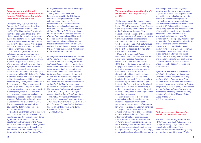#### **Between non-refundable aid and economic profits. Export of arms from the Polish People's Republic's to the Third World countries.**

During the early 60s, 70s and 80s Communist Poland was actively developing its diplomatic relations with the Third World countries. The officials from the Polish United Workers' Party tried to use of the geopolitical situation by sending doctors, teachers, and many other specialists as contract workers to the Third World countries. Arms export was one of the major ground of the Polish relations with these states.

The Central Engineering Board was a state run company operating from 1956, and was responsible for exporting of the Polish weapons. Poland was a very important supplier for the many Third World states, such as Libya, Iraq, Egypt, Syria, or India. Polish tanks, armoured vehicles, grenades, rifles and other military equipment were worth each year hundreds of millions US dollars. The Polish authorities offered also to train foreign military troops in special hidden bases, like in the early sixties, when soldiers from Togo, Angola and Algeria were trained by the Polish pilots. The profits from the arms export were even more important *Zjednoczenie Patriotyczne 'Grunwald'*  in the eighties, when the Communist economy was increasingly weakening and desperately needed foreign currencies. Moreover, Poles preferred to sell rockets to Libya in the first place than to GDR. The reason was simple: Qaddafi was paying in US dollars, while Honecker in transfer roubles.

Poland did not only sell arms to the Third World countries, but also use weapons transfers as a part of foreign policy. Some agreements were seen as "Communist assistance" and were paid by the Poles, while others were simply based on general trade agreements and contracts. Polish weapons as "internationalist help" was delivered to Syria after Yom Kippur War,

to Angola in seventies, and to Nicaragua in the eighties.

In my paper, I will describe the Polish arms export to the Third World countries. I will present internal and external circumstances of Polish involvement in the weapons transfers. Based on thedeclassified documents from the Archives of the Polish Ministry of Foreign Affairs, PUWP, the Ministry of Foreign Trade, the Ministry of Defence (Central Engineering Board files), and based on the Communist Intelligence and Counterintelligence files from the Institute of National Remembrance, I will address the question which reasons were the most important in Polish Arms Export to the Third World countries.

**Przemysław Gasztold-Seń***, PhD student at the Faculty of Journalism and Political Science at Warsaw University, he works in Public Education Office of the Institute of National Remembrance in Warsaw. He is currently conducting research on factions within the Polish United Workers' Party, on relations between Communist Poland and the Middle East/Maghreb and African countries and ties between the Soviet Bloc and international terrorism during the Cold War. He has already published "Koncesjonowany nacjonalizm. 1980–1990" (2012) (2013 – "Polityka" weekly Historical Award (for debut); 2013 – nomination for Kazimierz Moczarski Prize). He is the co-author (with M. Trentin, J. Adamec) "Syria During the Cold War: The East European Connection", St Andrews Papers on Contemporary Syria, Lynne Rienner Publishers, 2014. — psg249@wp.pl*

**The other political opposition: Kuroń, Modzelewski and the prehistory of 1964**

1956 marked one of the biggest changes in political discourse in Polish post-1945 history. With Khrushchev's Secret Speech, Gomułka's rise to power and the promise of de-Stalinization, the year 1956 unleashed new hopes and critical political energies among the left-wing youth before Gomułka's rule took a disappointing turn. In this volatile context, popular youth journals such as "Po Prostu" played an important role in creating and spreading the critical discourse that was later identified as revisionist.

Despite the crushing of Polish revisionism in 1957, its discourse exerted a profound impact on Jacek Kuroń (1934–2004) and Karol Modzelewski (1937–) who later became key activists engaged in the political opposition. By activating a sense of social emergency, revisionism and its suppression has shaped their political identity both on an explicit cognitive as well as on an implicit affective level. This is particularly clear with regard to the famous "Open Letter to the Party" written by Kuroń and Modzelewski in 1964. Its sharp critique of the communist party echoes the spirit of 1956, landing both of them in prison for more than three years.

The guiding hypothesis of my presentation is that Polish revisionism was important not only in strictly political terms, but also with regard to fluctuating left-wing identities. The year 1956 marked a change on a macro- as well as on a micro-level, leading to the consolidation of ideas, values and forms of emotional attachment that later became crucial for the emotional habitus characteristic of Kuroń's closest political environment. Here, evolving identities are understood in affective terms (being shaped, e.g., by disappointment and anger) and not simply in terms of ideals or values. The seemingly

irrational political habitus of young activists and the role of emotions have played a crucial role in the crystallization and resilience of radical commitments even in the face of state repression.

In the final part of my presentation, this historical reconstruction will be linked to post-1989 Polish political discourse. While being admired and contested icons of the political opposition and its social sensitivity, Kuroń and Modzelewski's left-wing ideals have become difficult to maintain in contemporary Polish society. In the midst of the post-1989 redistribution of class positions and the changing mosaic of social identities in Poland, the left-wing roots of Solidarność remain relatively unknown and marginalized. In this context, understanding the role of emotions in shaping political identities and friendships that formed the basis for political mobilisation reveals a hitherto under-researched aspect of the origins of Solidarność.

**Nguyen Vu Thuc Linh** *is a PhD candidate in the Department of History and Civilization at the European University Institute (EUI) in Florence, Italy. Prior to Linh's arrival in Florence, she obtained her master's degree in the Cultural Analysis programme at the University of Amsterdam and her bachelor's degree in Art History at the same university. Linh is a founding member of the Critical Theory Working Group at the EUI. — linh.nguyen@EUI.eu*

#### **"Byliśmy, Jesteśmy, Będziemy": Jewish Life in Poland after 1968**

The World Jewish Congress reported in 1968: The remnants of Polish Jewry are being mercilessly purged by the communist rulers of Poland… Their existence as a community is being finally and forcibly brought to an end. While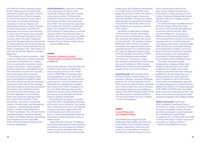the 1968 anti-Zionist campaign waged by the Polish government significantly reduced the Jewish population, it did not abolish Jewish life in Poland. Upwards of 20,000 Jews fled the country, but in their wake, a new Polish Jewishnessconsisting of cultural, religious, and educational initiatives emerged. Scholars of Jewish history often write that this period was one of almost total darkness, in which only a few aging Jews remained in Poland. There was, according to this narrative, little in the way of organized Jewish life. My paper adds new dimensions of understanding to this period by showing that Jewish life in Poland continued. As one leader proclaimed in 1971: "We existed, we exist, and we will exist (Byliśmy, Jesteśmy, Będziemy)."

The remaining Polish Jewishness – both in terms of those who remained somehow connected to Jewish life in its multiple forms, as well as the remnants of Jewish property and culture – held a powerful symbolic significance that helped ensure the continuation of Jewish life, ironically, even as the government continued its brutal anti-Zionist campaign. While government leaders struggled to determine their policies towards the remaining Jewishness in the wake of the campaign, they were unable to ignore their perception that western Jews yielded enormous amounts of power and influence, and thus their approach to the remaining Polish Jews should be analysed within the context of the Cold War. These perceptions – grounded in antisemitic notions of Jewish power and international conspiracy – exerted enough political power to prevent a total suppression of Polish Jewishness. Thus, the anti-Zionist campaign incited a massive emigration of Jews from Poland, while also stimulating the emergence of a new, post-1968 Polish Jewishness heavily influenced by American Jewishness.

**Rachel Rothstein** *is a doctoral candidate in the Department of History at the University of Florida, where she is writing a dissertation entitled, "A Relationship of Equals? Polish and American Jews and the Creation of a New Polish Jewishness since 1968." Her work has been supported by a number of institutions, including the Polish-U.S. Fulbright Commission, the YIVO Institute for Jewish Research, and the Woodrow Wilson International Center for Scholars. Most recently, she won the Polish American Historical Association's (PAHA) Graduate Student Research Paper Award. — rachroth1229@ufl.edu*

#### **The Party, Solidarity or both? Transformation of political identities in 1980–81.**

Polish United Workers' Party (PUWP) and Solidarity trade union are traditionally seen as opposing forces in the "Polish Crisis" of 1980-1981. On the basic level such perspective is correct: both sides had different interests, sets of values and political goals. In the end Solidarity was destroyed and outlawed and its leaders were imprisoned; PUWP managed to survive until 1990. Although when we dig deeper into various source materials and personal accounts this black and white picture is getting complicated.

At the 9th Party Congress in July 1981 more than 20% of the delegates belonged at the same time to Solidarity. Few months later in September the union's 1st National Congress took place. Again: about 10% of participants were in the communist party. It's hard to quantitatively determine this overlap, scholars estimate it as far as million people.

I argue that due to the rise of Solidarity and choices that had to be made regarding its existence, we can witness the transformation of political identities within communist Poland. Its core lied in the premise

of dual (party and Solidarity) membership. For a large amount of politically active people old positions of either (for various reasons) joining the party or opposing it became obsolete. They were accepting state socialism and geopolitical situation but pushed for democratic reforms and seen Solidarity as a permanent element of the system.

I would like to elaborate on it basing on three cases of people who worked both in the party and Solidarity. I called their attitudes: the mediator, the radical and the orthodox. The mediator is Stefan Bratkowski, head of Polish Journalists Association who against all odds tried to negotiate between two conflicted sides. The radical is Zbigniew Iwanów, leader of the horizontalist movement in PUWP. They both failed and were expelled from the party. The position I called the orthodox is represented by Zofia Grzyb who joined Solidarity in 1980, but later abandoned it to become the first female member of the communist Politburo.

**Jakub Szumski***, PhD candidate at the Institute of History, Polish Academy of Sciences in Warsaw, University of Warsaw graduate. His scholarly interests include Polish social and political history, especially inner relations within the communist party, international migrations and intelligence studies. 2015 Polish Historical Debut of The Year Award winner, published articles in volumes and academic journals in Poland. — kuba-szumski@wp.pl*

#### **Leszek Kołakowski as a religious thinker**

The intellectual heritage of Leszek Kołakowski (1927–2009), one of the foremost thinkers of the twentieth century, is largely neglected by historical scholarship. As a young radical, he believed that Marxism held the answers to many

of the conflicts and violence of his time. Quickly disillusioned, he turned to the history of ideas, working on early modern theological debates that cleared the path to the rise of modern science and secularism.

As a political émigré, he settled down in All Souls College, Oxford and made his name in the international intellectual community with the seminal "Main Currents of Marxism". His essays on politics and ethics were instrumental in the development of the anti-Communist opposition all over Central Europe and in developing democratic institutions after 1989. His last years were spent working on the philosophy of religion, examining many of the most fundamental questions of the humanities, and contemplating the answers to these questions given by the greatest minds of different times.

This paper will present Leszek Kołakowski as a religious thinker. Even though he was most famous for work on Marxism and modern democracy, religious issues lied at the heart of his philosophy from the very beginning, and always remained the most important point of reference in all his other works. It will outline how Kołakowski's approach to religion changed from a radical Stalinist atheist of the 1950s to a Christian apologist of the 1990s and 2000s who saw religion as the only way to make sense of life. It will focus on few crucial turning-points, which marked his transition into a religious thinker.

#### **Hubert Czyżewski** *is a first-year*

*DPhil candidate in Intellectual History at St Antony's College, University of Oxford. His thesis investigates religious thought of a Polish philosopher Leszek Kołakowski. He is funded by the Oxford Noble Foundation grant. He holds a BA and an MA in History from King's College London and is an editor at "Kultura Liberalna". — hubert.czyzewski@sant.ox.ac.uk*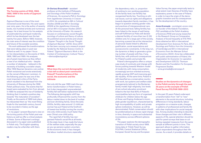#### **The Turning-points of 1956, 1968, 1980, 1989 in the works of Zygmunt Bauman**

Zygmunt Bauman is one of the most renowned social theorists. His carer spans over sixty years. He is the author of seventy books, two hundred articles and numerous essays. He is best known for his analysis of postmodernity and liquid modernity, which he has developed over the last twenty five years. Before 1989, however, his main area of interest was the condition and future of the socialist societies.

His work addressed the transformations that were taking place in post-war Poland as well. In my paper I focus on his interpretation on the events of 1956, 1968, 1980 and 1989. His analyses are of great importance as they reflect a view of an intellectual who – despite a number of obstacles – believed in the necessity of building a socialist utopia. After 1956 Bauman became a very active Polish revisionist and wrote extensively on the revival of Marxism-Leninism. In the following years he was one of the most important critics of the Party, which resulted in his dismissal from the University of Warsaw during the 1968 Polish political crisis. The events that followed were evaluated by him from abroad. In 1980 he analysed the rise of Solidarity thinking that it marked a positive step towards "the maturation of socialism". Finally, as the events of 1989 took place, he interpreted them as "the most fitting finale for the twentieth century, bound to be recorded in history as the age of revolutions.

In my paper I present Bauman's view on the turning points of the Polish post-war history as well as offer a critical analysis of these. Some of Bauman's writings discussed in my paper were published in Polish only. The English-speaking readers may be unfamiliar with them.

#### **Dr Dariusz Brzeziński** *– assistant*

*professor at the Institute of Philosophy and Sociology of the Polish Academy of Sciences. He received a PhD.in Sociology from Jagiellonian University in Cracow in 2014. He completed an MA in Cultural Studies (2008) and MA in Sociology (2006) at the Jagiellonian University and an MA in European Studies (2007) at the University of Exeter. His research focuses on contemporary social thought, sociology of culture and theory of culture. He published several articles and a book: "Utopian Thought in the Social Thought of Zygmunt Bauman" (2015). Since 2014 he has been carrying out a research project funded by the National Science Centre in Poland: "Zygmunt Bauman's Work in the Context of Contemporary Cultural Theory." —diariusz@autograf.pl*

#### **What does the current demographic crisis tell us about post-communist Poland? Transformations of the social, the economic and the intimate**

Not only did the year 1989 mark the systemic transformation in Polish history but it also inaugurated unprecedented fertility fall well below replacement levels. The following demographic shift has profoundly influenced the country from the labour market down to the level of nuclear and ever shrinking family. Since the early 2000s, fertility rates around 1.3 child per woman has put Poland at the forefront of lowest-low fertility turning the country into only-child society much faster than even China's one-child policy.

The rapid fall of fertility has reorganised Poland's social life at all levels. At the state-level, it has made the future of the welfare state, especially the payas-you-go pension system uncertain. At the economic level, it has changed the labour market structure, especially

the dependency ratio, i.e. proportion of working to non-working population. At the family-level, low fertility has reorganized family ties. Touching on ethical issues, such as rights and obligations towards dependent family members, it has begun to question existing gender roles and practices of intergenerational care. At the personal level, falling fertility has been linked to the issues of well-being and self-fulfilment as Poles still declare a desired fertility of more than two (2.26) children and, for a large part of the society, becoming a parent lies at the intersection of personal needs linked to affective gratification, social expectations and socioeconomic constraints. In the long run, the dynamics is likely to generate a growing number of people with few, if any, family ties, with profound consequences for Poland's public and private life.

Poland's demographics offers a unique case study of continuity and change with forces pushing towards Western model of modernity with rising consumption, increasingly service-oriented economy, rapidly growing GDP and improving gender equality. At the same time, Poland is still classified as a conservative country with work, tax systems and welfare state arrangements tailored to the Beckerian family model; high religiosity; low levels of pre-school education enrolment linked to the fact that 80% of Poland's municipalities lack any form of organised childcare for children below the age of three; and Esping-Andersen's incomplete gender equilibrium, characterised by high incompatibility of public and private sphere institutions. However, as will be demonstrated, Polish conservatism should be problematised as it shows rapid change in time, diversity in space and substantial inconsistency across different spheres of life.

The paper explores the demographic transition of Polish society since 1988. Using data of Polish Panel Survey POLPAN, Central Statistical Office, European Social Survey and European

Value Survey, the paper empirically tests to what extent main theories of fertility have explanatory power in the case of Poland, in order to trace the origin of the demographic transition and its consequences for the development of the country.

**Anna Gromada** *– sociologist, econo-mist, co-founder of the Kalecki Foundation, PhD candidate at the Polish Academy of Sciences (PAN) and young researcher in the Research Group on Comparative Analysis of Social Inequality at IFiS PAN. Anna obtained an MA in International Development from Sciences Po Paris, BA in Sociology and Politics from the University of Cambridge and BA in International Economics from the Warsaw School of Economics (SGH). Anna has collaborated with public administration of Poland, the Organization for Economic Co-operation and Development (OECD), Thomson Reuters and the Foundation For European Progressive Studies.*

*— anna.gromada@sciencespo.fr*

#### **Studies on the dynamics of changes in the Polish society through the past 25 years on the example of Polish Panel Survey POLPAN 1988–2013**

In the past 25 years Poland underwent a transformation from "old" to "new" elements in the social structure, including differences in living standards, labour emigration on a massive scale, changes in patterns of professional and family life with clear implications for social inequalities. Among studies intending to describe those changes and their role in different aspects of life, special attention should be paid for panel surveys that base on collecting repeated measures from the same sample at different points in time. This approach allows to gather information about respondents throughout their life course. As a result, it provides details on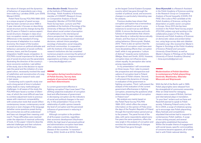the nature of changes and the dynamics of behaviour of respondents over a long time scale (e.g. Lavrakas 2008, Lynn 2009, *Sociology, Polish Academy of Sciences,*  Menard 2002).

Polish Panel Survey POLPAN 1988–2013 is a unique program of panel surveys that has been carried out since 1988 in 5-year intervals; it focuses on describing social structure and its change during the last 25 years in Poland in various aspect: social structure; changes in class structure; occupation careers, social mobility; differences in the standard of living; the process of adaptation to a market economy; the impact of the location in social structure on political attitudes and behaviour; perception of social conflicts; winners, losers, and the European integration; health issues; emigration. In POLPAN crucial importance for the analysis of social structure are the parameters illustrating the direction of the country's socio-economic evolution. Last edition of the study, due to the decision to rejuvenate the panel and the initiation of a new panel cohort, necessarily involved the need of redefinition and reconstruction of a way of thinking about research tools used in last waves.

Conducting such a specific study over such a long period of time in turbulent reality leads to many methodological challenges. In all waves of the study the POLPAN team faced a number of dilemmas, of which the most difficult was how to combine adjustment tools to previous waves with maximum comparability, with construction tools that would reflect contemporary issues, contemporary social structure or even changes of the language (whether some questions posed during the communist era will be understood and have not changed their meaning until now?). Those difficulties were resolved under the objective of maximal uniformity of tools. In this paper I intend to describe selected challenges and their solutions worked out by the POLPAN team.

**Anna Baczko-Dombi***, Researcher at the Institute of Philosophy and member of CONSIRT (Research Group on Comparative Analysis of Social Inequality). Member of POLPAN (Polish Panel Survey) team. Lecturer and PhD candidate at the Institute of Sociology of the University of Warsaw (forthcoming PhD thesis about social context of perception of mathematics in the intertemporal choice perspective). Her major interests include: social consequences of individual decisions, rational choice paradigm, sociology of education, social inequality, and local communities. In cooperation with the Institute of Sociology and other research institutions she has completed numerous projects concerning the sphere of education, local issues, nongovernmental organizations and labour market.*

**Corruption during transformations of Polish Society. Survey data analysis of perceived changes and their determinants**

*— anna.baczko@gmail.com*

Is current government effective in fighting corruption? Has it ever been? The shifting subjective evaluation of corruption level and effectiveness of government in decreasing corruption are the indicators of social and political changes in the society. In this presentation I focus on the relationship of public opinion towards the level of corruption and the perceived influence of government in reducing it in Poland.

Although corruption is the problem of all European countries, regardless their economic development (Kaufmann 2005), the high level of perceived political and administrative corruption have been often understood as the distinctive disease of the countries "in transition" (Gong, 2002; Smith et al 2010). Poland,

as the largest Central-Eastern European country which has gone through the number of political, social, and economic changes is a particularly interesting case for analysis.

Previous studies have shown that corruption perception has a tremendous impact on political trust and in some instances to social trust as well (Blind, 2006). It mirrors the fairness and truthfulness of representatives that citizens have (directly or indirectly) democratically chosen, and thus have an impact on voting behaviour (Słomczynski, Shabat, 2011). There is also an opinion that the perception of corruption could have even more devastating effects than corruption itself, while it may generate a "culture of distrust" towards some institutions (Melgar, Rossi and Smith, 2010). However, corruption does not influence every citizen equally. Its perception also varies among respondents.

In my presentation I will concentrate on three issues. First, I plan to present the prospective and retrospective evaluations of corruption level in Poland in the eyes of Polish citizens. Second, I will present the dynamics of change in evaluation of the government in fighting corruption. Third, I will present the analysis of the evaluation of the current government effectiveness in fighting corruption, answering the questions what determines the perception of corruption in Poland now?

My analysis are mainly based on the Polish Panel Survey POLPAN 1988–2013, which offers the unique information on the opinion of Poles since the days of the People's Republic of Poland through the transformation period and up to the present. The panel format of the data, with same respondents asked every five years the same questions, offers the new angle in the analysis of corruption and enriches the understanding of changes that Poland has gone through.

**Ilona Wysmułek** *is a Research Assistant in the Polish Academy of Sciences working in the Research Group on Comparative Analysis of Social Inequality (CASIN, IFiS PAN). She is also a PhD candidate at the Polish Academy of Sciences, writing her dissertation on public-sector corruption in Europe. Since 2013 she has been involved in the Polish Panel Survey project (POLPAN, polpan.org) and working in the collaborative project of The Ohio State University and Polish Academy of Sciences on democratic values and protest behaviour, using large survey data sets (dataharmonization.org). She received her Master's Degree in Sociology at the Polish Academy of Science (Poland) and Lancaster University (Great Britain), as well as Master's Degree in Philology at the National University of Ostroh Academy (Ukraine). — ilona.wysmulek@gmail.com*

#### **Modernisation of Polish identities in contemporary Polish playwriting: Demirski, Masłowska, Sikorska-Miszczuk and Wojcieszek**

With the fall of the Berlin wall in 1989, Polish playwrights were released from the stranglehold of communist censorship. After an initial trend for restaging classics came a wave of British, German and international plays in translation. "In-your-face" writers such as Kane and Ravenhill seemed to speak to Polish society. Following Poland's entry to the EU in 2004, a surge of initiatives sprang up to encourage new Polish playwriting. Many festivals and competitions stipulated that entries had to respond to contemporary Polish realities. A surge of new writing ensued, and several playwrights established themselves. Within the broader theme of engagement with social issues, specific commonalities of concerns became apparent, all of which tied in with Polish national identity.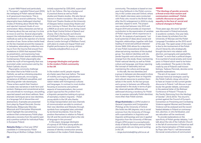In post-1989 Poland and particularly in "European", capitalist Poland post 2004, the reshaping of Polish national identity is of paramount importance. This is manifested in several subthemes. Young playwrights have challenged inherited modes of thinking about World War Two and rejected imposed rituals of commemoration. Many characters are fed up of hearing about the war and say it is time to move on and live. Several playwrights support the individualisation of memorial methods as well as the rejection of a heroic narrative of war. Some writers tackle head on the lies imposed around the massacre in Jedwabne, advocating a collective moving on from the trauma that ensued from revelations in 2000 that exposed Poles as perpetrators, and expressing hope for improved Polish-Jewish relationships. Contemporary Polish playwrights also tackle the myth of homogeneity that was promoted under communism and by the Polish Catholic church.

Playwrights commonly challenge the notion that to be Polish is to be Catholic, as well as criticising prejudice against homosexuals, encouraging acceptance of different sexualities, and ridiculing gender role stereotypes. These writers exploit their freedom to create new narratives in both form and content. Dialogue and conventional action are subordinate to monologue, storytelling, reported speech and direct address. New dramatic techniques serve new identities. in a language full of obscenities and abstractions. Examples are presented from plays by Paweł Demirski, Dorota Masłowska, Małgorzata Sikorska-Miszczuk and Przemysław Wojcieszek which highlight the overwhelming evidence that contemporary Polish plays advocate a recovery from the painful past and a positive outlook for individual Poles in European Poland.

**Natasha Oxley** *is a final year DPhil candidate in Contemporary Polish Playwriting at Wolfson College, Oxford,* 

*initially supported by CEELBAS, supervised by Dr Jan Fellerer. She has a background in practical drama as well as Polish studies and theatre studies. She also has an interest in theatre translation. She studied Polish and Theatre Studies at the University of Glasgow before researching theatre and actor training in Poland. She then trained at LAMDA as an actor and as an Acting Coach at the Royal Central School of Speech and Drama. She is the founder and director of Chiffchaff Children's Theatre, a company making theatre for young children in the diverse London borough of Waltham Forest, with plans to create a bi-lingual Polish and English performance for young children. — natasha.oxley@wolfson.ox.ac.uk*

#### **Language ideologies and gender in the modern Polish community in the UK**

In the modern world, people migrate at a faster pace than ever before. The ease of mobility and ongoing globalization question the integrity of homogenous nation-states with homogenous cultures and languages. In contrast to most studies focusing on economic and political aspects of transnationalism, the current project approaches the problem from a linguistic perspective looking at a group of exemplary modern migrants – Polish young adults in the UK who thanks to cheap transportation and new channels of communication are able to construct their new identities and lifestyles through symbols from variegated sites unlimited by territorial boundaries. How do they position themselves in relation to Poland, the UK and the world and what is the role of language in this process?

In this paper, language ideologies of a group of 30 Polish young adults are examined in order to understand the process of identity construction among members of the modern Polish diaspora community. The analysis is based on oneyear-long fieldwork in the Polish community in the London area and Oxford, where 30 in-depth interviews were conducted with Poles who moved to the British Isles after the EU enlargement in 2004 to study and later, stayed to work. The project was conducted between July 2013 and August 2014 and provides an important contribution to the examination of varieties of Polish migrants' ethnic experiences in the UK. An analysis of participants' "cultural system[s] of ideas about social and linguistic relationships, together with their loading of moral and political interests" (Irvine 1989: 255) allows for a depiction of new Polish transnational identities observed among members of the studied group. Two distinct identities with disparate linguistic and cultural practices emerge from the study: those maintaining Polish national identity as well as Polish culture and language, and those rejecting the concept of nationality and not maintaining the culture and language.

In this talk, the two identities and a group in-between are discussed to show how modern migrants draw on linguistic and cultural resources to position themselves in the world. As the two groups and a group in-between are differently represented in the study in terms of gender, observed gender differences are addressed showing a tendency for Polish men to express nationally Polish identities more often than Polish women.

**Kinga Kożminska** *is a DPhil student in General Linguistics and Comparative Philology at the University of Oxford. She holds two MA degrees: one in social sciences from the University of Chicago with a specialization in linguistics and linguistic anthropology and one in applied linguistics from the University of Warsaw. Kinga's DPhil project is a sociophonetic study of identity formation among Polish young adults who are living and working in the UK.*

*— kinga.kozminska@ling-phil.ox.ac.uk*

**"The ideology of gender presents a threat orwse than nazism and communism combined". Polish catholic discourse on gender equality in the face of social and cultural changes in Poland**

Three years ago, the word "gender" was discussed in Poland exclusively in academic contexts. One year later, it was chosen by scholars from the University of Warsaw and the Polish Language Foundation as the 2013 word of the year. The rapid career of this word is due to the involvement of the Polish church hierarchy who strategically brought this term into relation with abortion, pornography and paedophilia. "Gender" is more than a political slogan. It is a symbol of social anxiety and moral panic in Poland which need to be historically considered. The quote in the title, made by one of Poland's well-known bishops, Tadeusz Pieronek, denotes some possible explanations.

The aim of my paper is to present selected rhetorical strategies used by the Polish Catholic clergy who strive to have an impact on the current gender discourse in Poland. I will discuss in particular the gender debate, culminated in the pastoral letter of the Bishops' Conference of Poland ("Threats to the Family Stemming from the Ideology of Gender", 29.12.2013). The church's protest against the Council of Europe's Convention on Preventing and Combating Violence against Women and Domestic Violence will be analysed and the recent heated debates in Poland on contraception, abortion, in vitro fertilization, and sex education will be mentioned.

To provide explanations on the specificity of Polish gender debates, I will talk about the role of the Catholic Church in the fall of communism in Poland as well as the charismatisation of Polish society by Pope John Paul II. I will demonstrate the social constructions of communism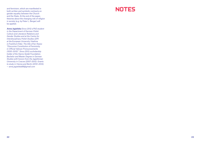and feminism, which are manifested in both written and symbolic contracts on gender equality between the Church and the State. At the end of the paper, theories about the changing role of religion in society (e.g. by Peter L. Berger) will be applied.

**Anna Jagielska** *Since 2012 a PhD student in the Department of German-Polish Culture and Literature Relations and Gender Studies and at the Centre for Interdisciplinary Polish Studies (ZIP) at the European University Viadrina in Frankfurt/Oder. The title of her thesis: "Discursive Constitution of Femininity in Official Vatican Pronouncements (1930–2015)". Since 2012 a scholarship holder of the Hanns Seidel Foundation. Bachelor and Master Degree in German Studies with honors from the Jagiellonian University in Cracow (2007–2012). Grants to study in Vienna and Berlin (2010–2012). — anna.jagielska88@gmail.com*

### NOTES